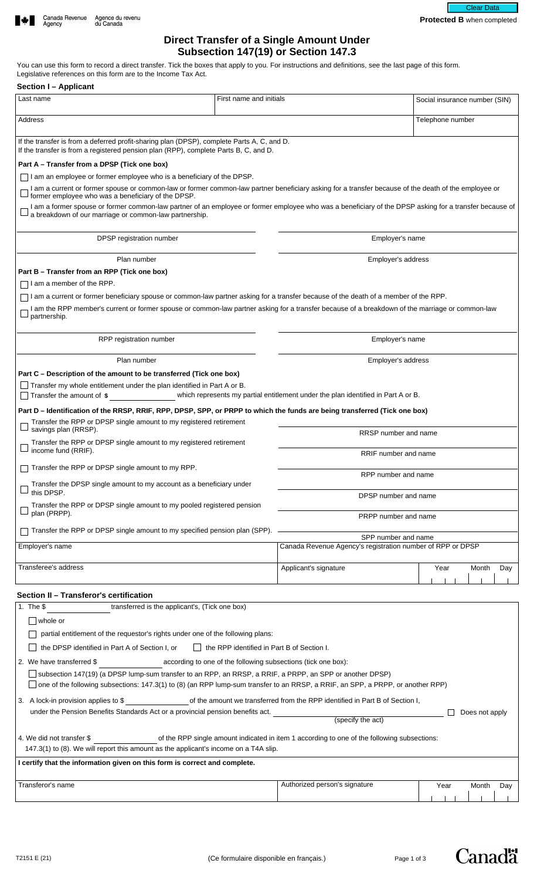# **Direct Transfer of a Single Amount Under Subsection 147(19) or Section 147.3**

**Protected B** when completed

ar Dat

You can use this form to record a direct transfer. Tick the boxes that apply to you. For instructions and definitions, see the last page of this form. Legislative references on this form are to the Income Tax Act.

| <b>Section I-Applicant</b>                                                                                                                                                                                       |                                                                                   |                                                                                   |
|------------------------------------------------------------------------------------------------------------------------------------------------------------------------------------------------------------------|-----------------------------------------------------------------------------------|-----------------------------------------------------------------------------------|
| Last name                                                                                                                                                                                                        | First name and initials                                                           | Social insurance number (SIN)                                                     |
| Address                                                                                                                                                                                                          |                                                                                   | Telephone number                                                                  |
| If the transfer is from a deferred profit-sharing plan (DPSP), complete Parts A, C, and D.<br>If the transfer is from a registered pension plan (RPP), complete Parts B, C, and D.                               |                                                                                   |                                                                                   |
| Part A – Transfer from a DPSP (Tick one box)                                                                                                                                                                     |                                                                                   |                                                                                   |
| $\Box$ I am an employee or former employee who is a beneficiary of the DPSP.                                                                                                                                     |                                                                                   |                                                                                   |
| I am a current or former spouse or common-law or former common-law partner beneficiary asking for a transfer because of the death of the employee or<br>former employee who was a beneficiary of the DPSP.       |                                                                                   |                                                                                   |
| I am a former spouse or former common-law partner of an employee or former employee who was a beneficiary of the DPSP asking for a transfer because of<br>a breakdown of our marriage or common-law partnership. |                                                                                   |                                                                                   |
| DPSP registration number                                                                                                                                                                                         |                                                                                   | Employer's name                                                                   |
| Plan number                                                                                                                                                                                                      |                                                                                   | Employer's address                                                                |
| Part B - Transfer from an RPP (Tick one box)                                                                                                                                                                     |                                                                                   |                                                                                   |
| I am a member of the RPP.                                                                                                                                                                                        |                                                                                   |                                                                                   |
| I am a current or former beneficiary spouse or common-law partner asking for a transfer because of the death of a member of the RPP.                                                                             |                                                                                   |                                                                                   |
| I am the RPP member's current or former spouse or common-law partner asking for a transfer because of a breakdown of the marriage or common-law<br>partnership.                                                  |                                                                                   |                                                                                   |
| RPP registration number                                                                                                                                                                                          |                                                                                   | Employer's name                                                                   |
| Plan number                                                                                                                                                                                                      |                                                                                   | Employer's address                                                                |
| Part C – Description of the amount to be transferred (Tick one box)                                                                                                                                              |                                                                                   |                                                                                   |
| Transfer my whole entitlement under the plan identified in Part A or B.<br>Transfer the amount of \$                                                                                                             | which represents my partial entitlement under the plan identified in Part A or B. |                                                                                   |
| Part D – Identification of the RRSP, RRIF, RPP, DPSP, SPP, or PRPP to which the funds are being transferred (Tick one box)                                                                                       |                                                                                   |                                                                                   |
| Transfer the RPP or DPSP single amount to my registered retirement                                                                                                                                               |                                                                                   |                                                                                   |
| savings plan (RRSP).                                                                                                                                                                                             |                                                                                   | RRSP number and name                                                              |
| Transfer the RPP or DPSP single amount to my registered retirement<br>income fund (RRIF).                                                                                                                        |                                                                                   | RRIF number and name                                                              |
| Transfer the RPP or DPSP single amount to my RPP.                                                                                                                                                                |                                                                                   | RPP number and name                                                               |
| Transfer the DPSP single amount to my account as a beneficiary under<br>this DPSP.                                                                                                                               |                                                                                   |                                                                                   |
| Transfer the RPP or DPSP single amount to my pooled registered pension                                                                                                                                           |                                                                                   | DPSP number and name                                                              |
| plan (PRPP).                                                                                                                                                                                                     |                                                                                   | PRPP number and name                                                              |
| Transfer the RPP or DPSP single amount to my specified pension plan (SPP).                                                                                                                                       |                                                                                   |                                                                                   |
| Employer's name                                                                                                                                                                                                  |                                                                                   | SPP number and name<br>Canada Revenue Agency's registration number of RPP or DPSP |
|                                                                                                                                                                                                                  |                                                                                   |                                                                                   |
| Transferee's address                                                                                                                                                                                             | Applicant's signature                                                             | Year<br>Month<br>Day                                                              |
|                                                                                                                                                                                                                  |                                                                                   |                                                                                   |
| Section II - Transferor's certification                                                                                                                                                                          |                                                                                   |                                                                                   |
| transferred is the applicant's, (Tick one box)<br>1. The $$$                                                                                                                                                     |                                                                                   |                                                                                   |
| whole or                                                                                                                                                                                                         |                                                                                   |                                                                                   |
| partial entitlement of the requestor's rights under one of the following plans:                                                                                                                                  |                                                                                   |                                                                                   |

□ the DPSP identified in Part A of Section I, or □ the RPP identified in Part B of Section I. 2. We have transferred \$ \_\_\_\_\_\_\_\_\_\_\_\_\_\_\_\_\_\_\_\_\_\_\_\_according to one of the following subsections (tick one box): subsection 147(19) (a DPSP lump-sum transfer to an RPP, an RRSP, a RRIF, a PRPP, an SPP or another DPSP)  $\Box$  one of the following subsections: 147.3(1) to (8) (an RPP lump-sum transfer to an RRSP, a RRIF, an SPP, a PRPP, or another RPP) 3. A lock-in provision applies to \$ under the Pension Benefits Standards Act or a provincial pension benefits act. (specify the act)  $\Box$  Does not apply 4. We did not transfer \$ of the RPP single amount indicated in item 1 according to one of the following subsections: 147.3(1) to (8). We will report this amount as the applicant's income on a T4A slip. **I certify that the information given on this form is correct and complete.** Transferor's name **Authorized person's signature Authorized person's signature** Year Month Day

Canadä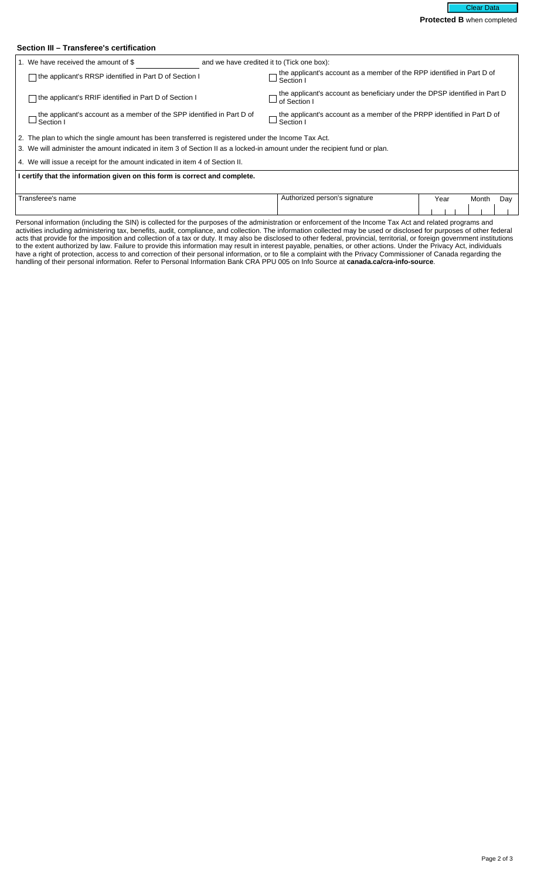## **Section III – Transferee's certification**

| 1. We have received the amount of \$                                                                                                                                                                                              | and we have credited it to (Tick one box):                                                            |  |
|-----------------------------------------------------------------------------------------------------------------------------------------------------------------------------------------------------------------------------------|-------------------------------------------------------------------------------------------------------|--|
| the applicant's RRSP identified in Part D of Section I                                                                                                                                                                            | the applicant's account as a member of the RPP identified in Part D of<br>$\rightharpoonup$ Section I |  |
| the applicant's RRIF identified in Part D of Section I                                                                                                                                                                            | the applicant's account as beneficiary under the DPSP identified in Part D<br>of Section              |  |
| the applicant's account as a member of the SPP identified in Part D of<br>Section I                                                                                                                                               | the applicant's account as a member of the PRPP identified in Part D of<br>Section I                  |  |
| 2. The plan to which the single amount has been transferred is registered under the Income Tax Act.<br>3. We will administer the amount indicated in item 3 of Section II as a locked-in amount under the recipient fund or plan. |                                                                                                       |  |
| 4. We will issue a receipt for the amount indicated in item 4 of Section II.                                                                                                                                                      |                                                                                                       |  |
| I certify that the information given on this form is correct and complete.                                                                                                                                                        |                                                                                                       |  |
| Transferee's name                                                                                                                                                                                                                 | Authorized person's signature<br>Year<br>Month<br>Day                                                 |  |

Personal information (including the SIN) is collected for the purposes of the administration or enforcement of the Income Tax Act and related programs and activities including administering tax, benefits, audit, compliance, and collection. The information collected may be used or disclosed for purposes of other federal acts that provide for the imposition and collection of a tax or duty. It may also be disclosed to other federal, provincial, territorial, or foreign government institutions to the extent authorized by law. Failure to provide this information may result in interest payable, penalties, or other actions. Under the Privacy Act, individuals have a right of protection, access to and correction of their personal information, or to file a complaint with the Privacy Commissioner of Canada regarding the handling of their personal information. Refer to Personal Information Bank CRA PPU 005 on Info Source at **canada.ca/cra-info-source**.